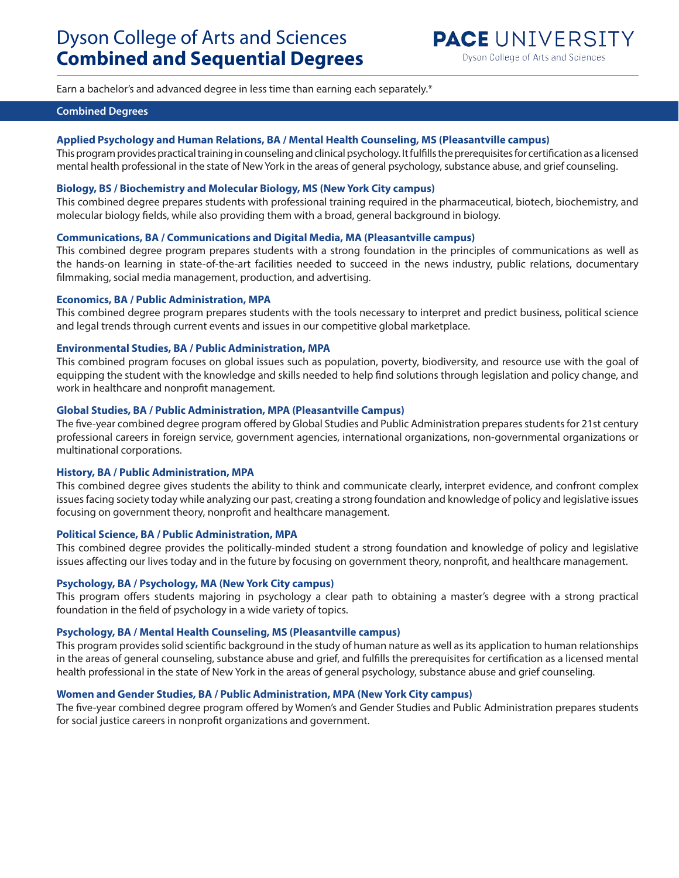Earn a bachelor's and advanced degree in less time than earning each separately.\*

## **Combined Degrees**

## **Applied Psychology and Human Relations, BA / Mental Health Counseling, MS (Pleasantville campus)**

This program provides practical training in counseling and clinical psychology. It fulfills the prerequisites for certification as a licensed mental health professional in the state of New York in the areas of general psychology, substance abuse, and grief counseling.

## **Biology, BS / Biochemistry and Molecular Biology, MS (New York City campus)**

This combined degree prepares students with professional training required in the pharmaceutical, biotech, biochemistry, and molecular biology fields, while also providing them with a broad, general background in biology.

## **Communications, BA / Communications and Digital Media, MA (Pleasantville campus)**

This combined degree program prepares students with a strong foundation in the principles of communications as well as the hands-on learning in state-of-the-art facilities needed to succeed in the news industry, public relations, documentary filmmaking, social media management, production, and advertising.

## **Economics, BA / Public Administration, MPA**

This combined degree program prepares students with the tools necessary to interpret and predict business, political science and legal trends through current events and issues in our competitive global marketplace.

## **Environmental Studies, BA / Public Administration, MPA**

This combined program focuses on global issues such as population, poverty, biodiversity, and resource use with the goal of equipping the student with the knowledge and skills needed to help find solutions through legislation and policy change, and work in healthcare and nonprofit management.

## **Global Studies, BA / Public Administration, MPA (Pleasantville Campus)**

The five-year combined degree program offered by Global Studies and Public Administration prepares students for 21st century professional careers in foreign service, government agencies, international organizations, non-governmental organizations or multinational corporations.

#### **History, BA / Public Administration, MPA**

This combined degree gives students the ability to think and communicate clearly, interpret evidence, and confront complex issues facing society today while analyzing our past, creating a strong foundation and knowledge of policy and legislative issues focusing on government theory, nonprofit and healthcare management.

#### **Political Science, BA / Public Administration, MPA**

This combined degree provides the politically-minded student a strong foundation and knowledge of policy and legislative issues affecting our lives today and in the future by focusing on government theory, nonprofit, and healthcare management.

## **Psychology, BA / Psychology, MA (New York City campus)**

This program offers students majoring in psychology a clear path to obtaining a master's degree with a strong practical foundation in the field of psychology in a wide variety of topics.

## **Psychology, BA / Mental Health Counseling, MS (Pleasantville campus)**

This program provides solid scientific background in the study of human nature as well as its application to human relationships in the areas of general counseling, substance abuse and grief, and fulfills the prerequisites for certification as a licensed mental health professional in the state of New York in the areas of general psychology, substance abuse and grief counseling.

## **Women and Gender Studies, BA / Public Administration, MPA (New York City campus)**

The five-year combined degree program offered by Women's and Gender Studies and Public Administration prepares students for social justice careers in nonprofit organizations and government.